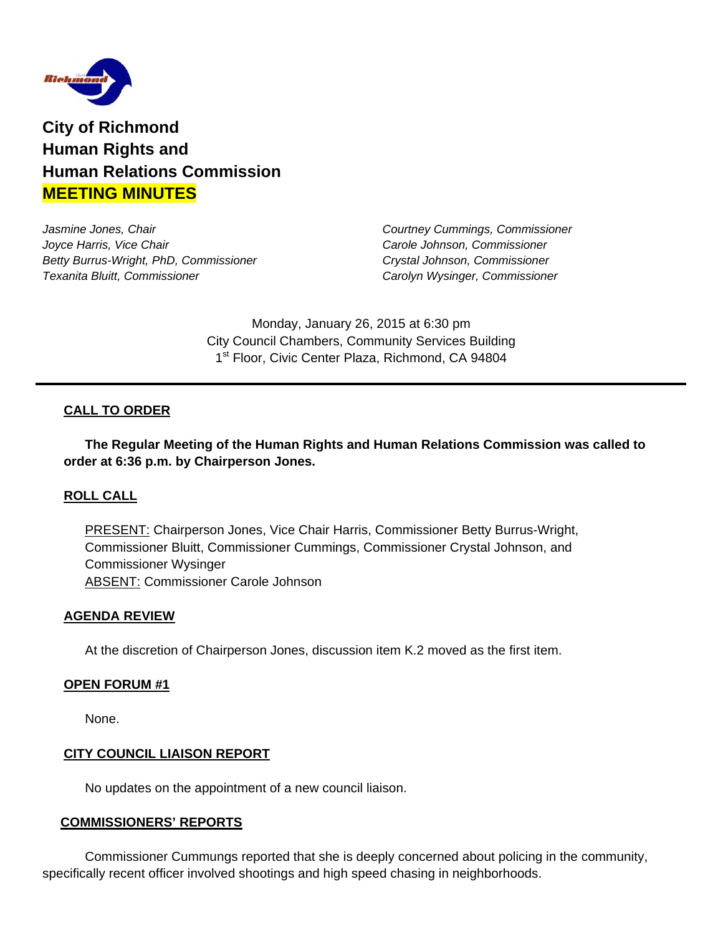

**City of Richmond Human Rights and Human Relations Commission MEETING MINUTES** 

*Jasmine Jones, Chair Courtney Cummings, Commissioner Joyce Harris, Vice Chair Carole Johnson, Commissioner Betty Burrus-Wright, PhD, Commissioner Crystal Johnson, Commissioner Texanita Bluitt, Commissioner Carolyn Wysinger, Commissioner* 

Monday, January 26, 2015 at 6:30 pm City Council Chambers, Community Services Building 1<sup>st</sup> Floor, Civic Center Plaza, Richmond, CA 94804

## **CALL TO ORDER**

 **The Regular Meeting of the Human Rights and Human Relations Commission was called to order at 6:36 p.m. by Chairperson Jones.** 

### **ROLL CALL**

PRESENT: Chairperson Jones, Vice Chair Harris, Commissioner Betty Burrus-Wright, Commissioner Bluitt, Commissioner Cummings, Commissioner Crystal Johnson, and Commissioner Wysinger ABSENT: Commissioner Carole Johnson

#### **AGENDA REVIEW**

At the discretion of Chairperson Jones, discussion item K.2 moved as the first item.

#### **OPEN FORUM #1**

None.

### **CITY COUNCIL LIAISON REPORT**

No updates on the appointment of a new council liaison.

#### **COMMISSIONERS' REPORTS**

 Commissioner Cummungs reported that she is deeply concerned about policing in the community, specifically recent officer involved shootings and high speed chasing in neighborhoods.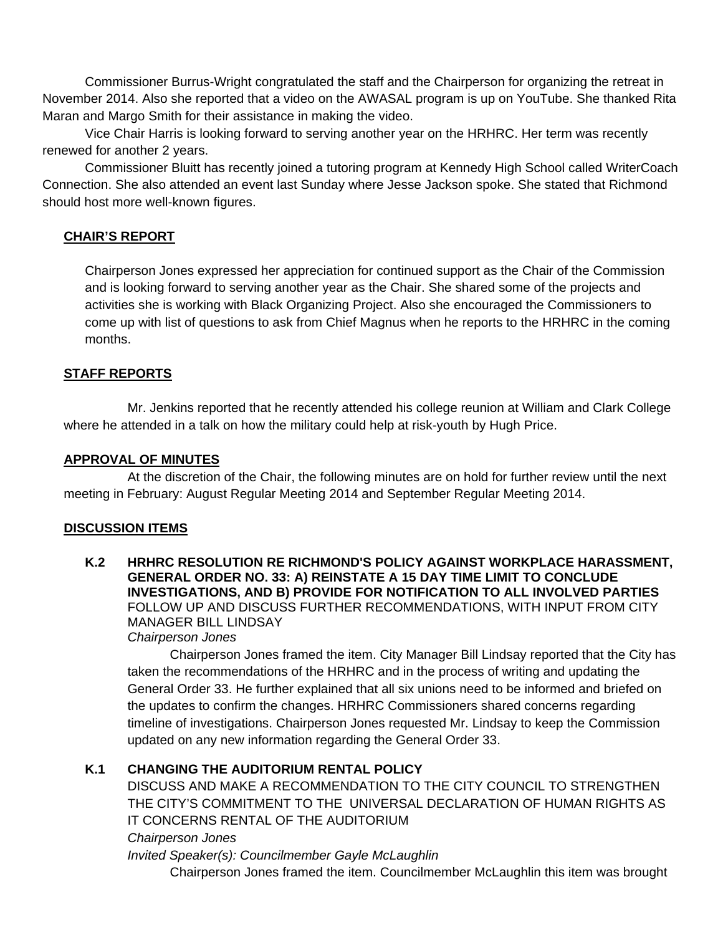Commissioner Burrus-Wright congratulated the staff and the Chairperson for organizing the retreat in November 2014. Also she reported that a video on the AWASAL program is up on YouTube. She thanked Rita Maran and Margo Smith for their assistance in making the video.

 Vice Chair Harris is looking forward to serving another year on the HRHRC. Her term was recently renewed for another 2 years.

 Commissioner Bluitt has recently joined a tutoring program at Kennedy High School called WriterCoach Connection. She also attended an event last Sunday where Jesse Jackson spoke. She stated that Richmond should host more well-known figures.

## **CHAIR'S REPORT**

Chairperson Jones expressed her appreciation for continued support as the Chair of the Commission and is looking forward to serving another year as the Chair. She shared some of the projects and activities she is working with Black Organizing Project. Also she encouraged the Commissioners to come up with list of questions to ask from Chief Magnus when he reports to the HRHRC in the coming months.

## **STAFF REPORTS**

 Mr. Jenkins reported that he recently attended his college reunion at William and Clark College where he attended in a talk on how the military could help at risk-youth by Hugh Price.

### **APPROVAL OF MINUTES**

At the discretion of the Chair, the following minutes are on hold for further review until the next meeting in February: August Regular Meeting 2014 and September Regular Meeting 2014.

### **DISCUSSION ITEMS**

**K.2 HRHRC RESOLUTION RE RICHMOND'S POLICY AGAINST WORKPLACE HARASSMENT, GENERAL ORDER NO. 33: A) REINSTATE A 15 DAY TIME LIMIT TO CONCLUDE INVESTIGATIONS, AND B) PROVIDE FOR NOTIFICATION TO ALL INVOLVED PARTIES**  FOLLOW UP AND DISCUSS FURTHER RECOMMENDATIONS, WITH INPUT FROM CITY MANAGER BILL LINDSAY *Chairperson Jones* 

 Chairperson Jones framed the item. City Manager Bill Lindsay reported that the City has taken the recommendations of the HRHRC and in the process of writing and updating the General Order 33. He further explained that all six unions need to be informed and briefed on the updates to confirm the changes. HRHRC Commissioners shared concerns regarding timeline of investigations. Chairperson Jones requested Mr. Lindsay to keep the Commission updated on any new information regarding the General Order 33.

## **K.1 CHANGING THE AUDITORIUM RENTAL POLICY**

DISCUSS AND MAKE A RECOMMENDATION TO THE CITY COUNCIL TO STRENGTHEN THE CITY'S COMMITMENT TO THE UNIVERSAL DECLARATION OF HUMAN RIGHTS AS IT CONCERNS RENTAL OF THE AUDITORIUM

#### *Chairperson Jones*

*Invited Speaker(s): Councilmember Gayle McLaughlin*  Chairperson Jones framed the item. Councilmember McLaughlin this item was brought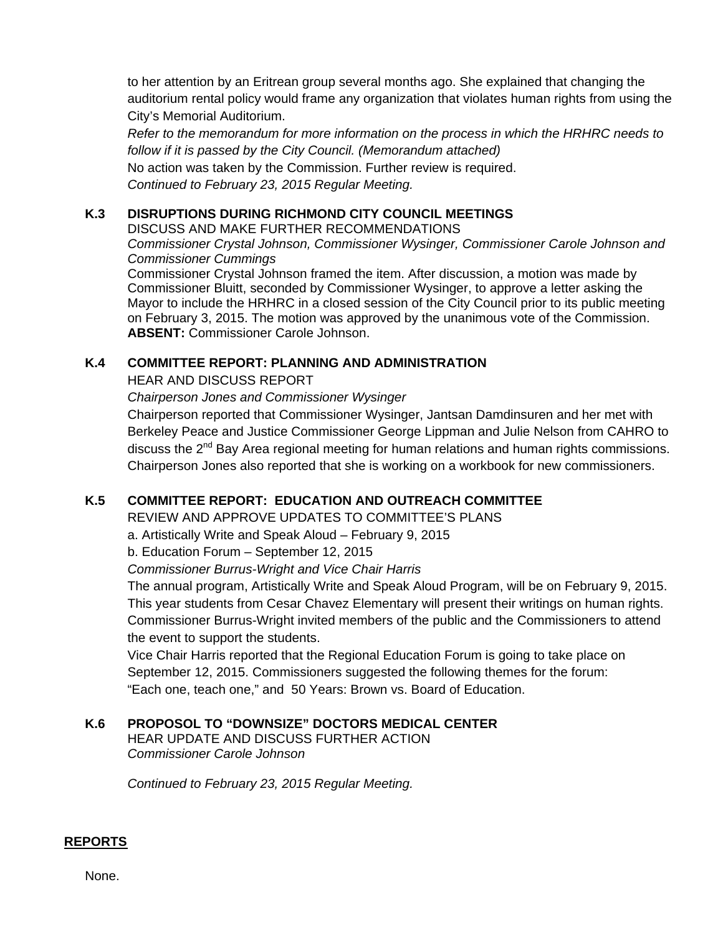to her attention by an Eritrean group several months ago. She explained that changing the auditorium rental policy would frame any organization that violates human rights from using the City's Memorial Auditorium.

*Refer to the memorandum for more information on the process in which the HRHRC needs to follow if it is passed by the City Council. (Memorandum attached)* No action was taken by the Commission. Further review is required. *Continued to February 23, 2015 Regular Meeting.*

## **K.3 DISRUPTIONS DURING RICHMOND CITY COUNCIL MEETINGS**

DISCUSS AND MAKE FURTHER RECOMMENDATIONS

*Commissioner Crystal Johnson, Commissioner Wysinger, Commissioner Carole Johnson and Commissioner Cummings* 

Commissioner Crystal Johnson framed the item. After discussion, a motion was made by Commissioner Bluitt, seconded by Commissioner Wysinger, to approve a letter asking the Mayor to include the HRHRC in a closed session of the City Council prior to its public meeting on February 3, 2015. The motion was approved by the unanimous vote of the Commission. **ABSENT:** Commissioner Carole Johnson.

## **K.4 COMMITTEE REPORT: PLANNING AND ADMINISTRATION**

HEAR AND DISCUSS REPORT

*Chairperson Jones and Commissioner Wysinger* 

Chairperson reported that Commissioner Wysinger, Jantsan Damdinsuren and her met with Berkeley Peace and Justice Commissioner George Lippman and Julie Nelson from CAHRO to discuss the  $2^{nd}$  Bay Area regional meeting for human relations and human rights commissions. Chairperson Jones also reported that she is working on a workbook for new commissioners.

# **K.5 COMMITTEE REPORT: EDUCATION AND OUTREACH COMMITTEE**

REVIEW AND APPROVE UPDATES TO COMMITTEE'S PLANS

a. Artistically Write and Speak Aloud – February 9, 2015

b. Education Forum – September 12, 2015

*Commissioner Burrus-Wright and Vice Chair Harris* 

The annual program, Artistically Write and Speak Aloud Program, will be on February 9, 2015. This year students from Cesar Chavez Elementary will present their writings on human rights. Commissioner Burrus-Wright invited members of the public and the Commissioners to attend the event to support the students.

Vice Chair Harris reported that the Regional Education Forum is going to take place on September 12, 2015. Commissioners suggested the following themes for the forum: "Each one, teach one," and 50 Years: Brown vs. Board of Education.

# **K.6 PROPOSOL TO "DOWNSIZE" DOCTORS MEDICAL CENTER**

HEAR UPDATE AND DISCUSS FURTHER ACTION *Commissioner Carole Johnson* 

*Continued to February 23, 2015 Regular Meeting.*

# **REPORTS**

None.